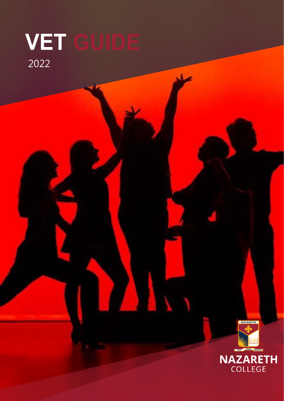# VET GUIDE 2022



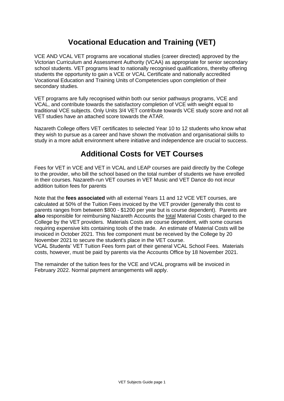## **Vocational Education and Training (VET)**

VCE AND VCAL VET programs are vocational studies (career directed) approved by the Victorian Curriculum and Assessment Authority (VCAA) as appropriate for senior secondary school students. VET programs lead to nationally recognised qualifications, thereby offering students the opportunity to gain a VCE or VCAL Certificate and nationally accredited Vocational Education and Training Units of Competencies upon completion of their secondary studies.

VET programs are fully recognised within both our senior pathways programs, VCE and VCAL, and contribute towards the satisfactory completion of VCE with weight equal to traditional VCE subjects. Only Units 3/4 VET contribute towards VCE study score and not all VET studies have an attached score towards the ATAR.

Nazareth College offers VET certificates to selected Year 10 to 12 students who know what they wish to pursue as a career and have shown the motivation and organisational skills to study in a more adult environment where initiative and independence are crucial to success.

## **Additional Costs for VET Courses**

Fees for VET in VCE and VET in VCAL and LEAP courses are paid directly by the College to the provider, who bill the school based on the total number of students we have enrolled in their courses. Nazareth-run VET courses in VET Music and VET Dance do not incur addition tuition fees for parents

Note that the **fees associated** with all external Years 11 and 12 VCE VET courses, are calculated at 50% of the Tuition Fees invoiced by the VET provider (generally this cost to parents ranges from between \$800 - \$1200 per year but is course dependent). Parents are **also** responsible for reimbursing Nazareth Accounts the total Material Costs charged to the College by the VET providers. Materials Costs are course dependent, with some courses requiring expensive kits containing tools of the trade. An estimate of Material Costs will be invoiced in October 2021. This fee component must be received by the College by 20 November 2021 to secure the student's place in the VET course.

VCAL Students' VET Tuition Fees form part of their general VCAL School Fees. Materials costs, however, must be paid by parents via the Accounts Office by 18 November 2021.

The remainder of the tuition fees for the VCE and VCAL programs will be invoiced in February 2022. Normal payment arrangements will apply.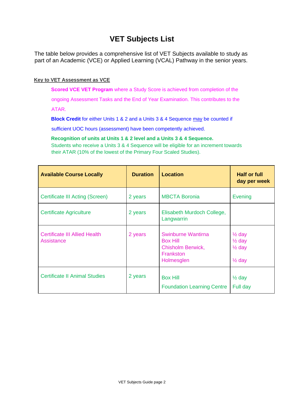## **VET Subjects List**

The table below provides a comprehensive list of VET Subjects available to study as part of an Academic (VCE) or Applied Learning (VCAL) Pathway in the senior years.

#### **Key to VET Assessment as VCE**

**Scored VCE VET Program** where a Study Score is achieved from completion of the

ongoing Assessment Tasks and the End of Year Examination. This contributes to the

ATAR.

**Block Credit** for either Units 1 & 2 and a Units 3 & 4 Sequence may be counted if

sufficient UOC hours (assessment) have been competently achieved.

**Recognition of units at Units 1 & 2 level and a Units 3 & 4 Sequence.**  Students who receive a Units 3 & 4 Sequence will be eligible for an increment towards their ATAR (10% of the lowest of the Primary Four Scaled Studies).

| <b>Available Course Locally</b>                    | <b>Duration</b> | <b>Location</b>                                                                              | <b>Half or full</b><br>day per week                                              |
|----------------------------------------------------|-----------------|----------------------------------------------------------------------------------------------|----------------------------------------------------------------------------------|
| Certificate III Acting (Screen)                    | 2 years         | <b>MBCTA Boronia</b>                                                                         | Evening                                                                          |
| <b>Certificate Agriculture</b>                     | 2 years         | Elisabeth Murdoch College,<br>Langwarrin                                                     |                                                                                  |
| <b>Certificate III Allied Health</b><br>Assistance | 2 years         | Swinburne Wantirna<br><b>Box Hill</b><br><b>Chisholm Berwick,</b><br>Frankston<br>Holmesglen | $\frac{1}{2}$ day<br>$\frac{1}{2}$ day<br>$\frac{1}{2}$ day<br>$\frac{1}{2}$ day |
| <b>Certificate II Animal Studies</b>               | 2 years         | <b>Box Hill</b><br><b>Foundation Learning Centre</b>                                         | $\frac{1}{2}$ day<br>Full day                                                    |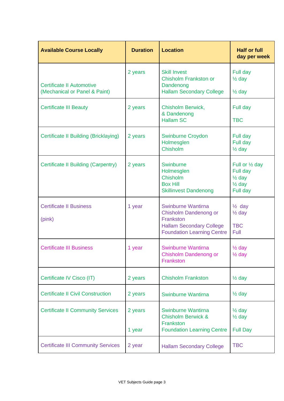| <b>Available Course Locally</b>                                   | <b>Duration</b>   | <b>Location</b>                                                                                                                  | <b>Half or full</b><br>day per week                                               |
|-------------------------------------------------------------------|-------------------|----------------------------------------------------------------------------------------------------------------------------------|-----------------------------------------------------------------------------------|
| <b>Certificate II Automotive</b><br>(Mechanical or Panel & Paint) | 2 years           | <b>Skill Invest</b><br><b>Chisholm Frankston or</b><br>Dandenong<br><b>Hallam Secondary College</b>                              | Full day<br>$\frac{1}{2}$ day<br>$\frac{1}{2}$ day                                |
| <b>Certificate III Beauty</b>                                     | 2 years           | <b>Chisholm Berwick,</b><br>& Dandenong<br><b>Hallam SC</b>                                                                      | Full day<br><b>TBC</b>                                                            |
| Certificate II Building (Bricklaying)                             | 2 years           | <b>Swinburne Croydon</b><br>Holmesglen<br>Chisholm                                                                               | Full day<br>Full day<br>$\frac{1}{2}$ day                                         |
| Certificate II Building (Carpentry)                               | 2 years           | Swinburne<br>Holmesglen<br>Chisholm<br><b>Box Hill</b><br><b>Skillinvest Dandenong</b>                                           | Full or 1/2 day<br>Full day<br>$\frac{1}{2}$ day<br>$\frac{1}{2}$ day<br>Full day |
| <b>Certificate II Business</b><br>(pink)                          | 1 year            | Swinburne Wantirna<br>Chisholm Dandenong or<br>Frankston<br><b>Hallam Secondary College</b><br><b>Foundation Learning Centre</b> | $\frac{1}{2}$ day<br>$\frac{1}{2}$ day<br><b>TBC</b><br>Full                      |
| <b>Certificate III Business</b>                                   | 1 year            | Swinburne Wantirna<br>Chisholm Dandenong or<br>Frankston                                                                         | $\frac{1}{2}$ day<br>$\frac{1}{2}$ day                                            |
| Certificate IV Cisco (IT)                                         | 2 years           | <b>Chisholm Frankston</b>                                                                                                        | $\frac{1}{2}$ day                                                                 |
| <b>Certificate II Civil Construction</b>                          | 2 years           | Swinburne Wantirna                                                                                                               | $\frac{1}{2}$ day                                                                 |
| <b>Certificate II Community Services</b>                          | 2 years<br>1 year | Swinburne Wantirna<br><b>Chisholm Berwick &amp;</b><br>Frankston<br><b>Foundation Learning Centre</b>                            | $\frac{1}{2}$ day<br>$\frac{1}{2}$ day<br><b>Full Day</b>                         |
| <b>Certificate III Community Services</b>                         | 2 year            | <b>Hallam Secondary College</b>                                                                                                  | <b>TBC</b>                                                                        |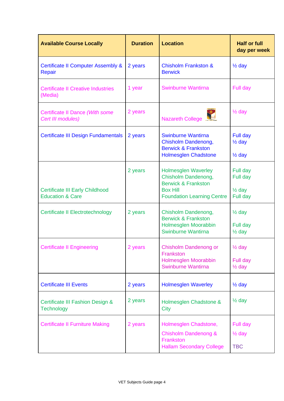| <b>Available Course Locally</b>                                       | <b>Duration</b> | <b>Location</b>                                                                                                                             | <b>Half or full</b><br>day per week                   |
|-----------------------------------------------------------------------|-----------------|---------------------------------------------------------------------------------------------------------------------------------------------|-------------------------------------------------------|
| <b>Certificate II Computer Assembly &amp;</b><br><b>Repair</b>        | 2 years         | <b>Chisholm Frankston &amp;</b><br><b>Berwick</b>                                                                                           | $\frac{1}{2}$ day                                     |
| <b>Certificate II Creative Industries</b><br>(Media)                  | 1 year          | <b>Swinburne Wantirna</b>                                                                                                                   | Full day                                              |
| Certificate II Dance (With some<br>Cert III modules)                  | 2 years         | Nazareth College                                                                                                                            | $\frac{1}{2}$ day                                     |
| <b>Certificate III Design Fundamentals</b>                            | 2 years         | <b>Swinburne Wantirna</b><br>Chisholm Dandenong,<br><b>Berwick &amp; Frankston</b><br><b>Holmesglen Chadstone</b>                           | Full day<br>$\frac{1}{2}$ day<br>$\frac{1}{2}$ day    |
| <b>Certificate III Early Childhood</b><br><b>Education &amp; Care</b> | 2 years         | <b>Holmesglen Waverley</b><br>Chisholm Dandenong,<br><b>Berwick &amp; Frankston</b><br><b>Box Hill</b><br><b>Foundation Learning Centre</b> | Full day<br>Full day<br>$\frac{1}{2}$ day<br>Full day |
| <b>Certificate II Electrotechnology</b>                               | 2 years         | Chisholm Dandenong,<br><b>Berwick &amp; Frankston</b><br>Holmesglen Moorabbin<br>Swinburne Wantirna                                         | $\frac{1}{2}$ day<br>Full day<br>$\frac{1}{2}$ day    |
| <b>Certificate II Engineering</b>                                     | 2 years         | Chisholm Dandenong or<br>Frankston<br>Holmesglen Moorabbin<br><b>Swinburne Wantirna</b>                                                     | $\frac{1}{2}$ day<br>Full day<br>$\frac{1}{2}$ day    |
| <b>Certificate III Events</b>                                         | 2 years         | <b>Holmesglen Waverley</b>                                                                                                                  | $\frac{1}{2}$ day                                     |
| Certificate III Fashion Design &<br><b>Technology</b>                 | 2 years         | Holmesglen Chadstone &<br>City                                                                                                              | $\frac{1}{2}$ day                                     |
| <b>Certificate II Furniture Making</b>                                | 2 years         | Holmesglen Chadstone,<br><b>Chisholm Dandenong &amp;</b><br>Frankston<br><b>Hallam Secondary College</b>                                    | <b>Full day</b><br>$\frac{1}{2}$ day<br><b>TBC</b>    |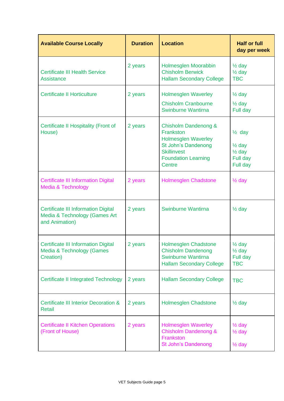| <b>Available Course Locally</b>                                                               | <b>Duration</b> | <b>Location</b>                                                                                                                                             | <b>Half or full</b><br>day per week                                                 |
|-----------------------------------------------------------------------------------------------|-----------------|-------------------------------------------------------------------------------------------------------------------------------------------------------------|-------------------------------------------------------------------------------------|
| <b>Certificate III Health Service</b><br><b>Assistance</b>                                    | 2 years         | Holmesglen Moorabbin<br><b>Chisholm Berwick</b><br><b>Hallam Secondary College</b>                                                                          | $\frac{1}{2}$ day<br>$\frac{1}{2}$ day<br><b>TBC</b>                                |
| <b>Certificate II Horticulture</b>                                                            | 2 years         | <b>Holmesglen Waverley</b><br><b>Chisholm Cranbourne</b><br>Swinburne Wantirna                                                                              | $\frac{1}{2}$ day<br>$\frac{1}{2}$ day<br>Full day                                  |
| Certificate II Hospitality (Front of<br>House)                                                | 2 years         | Chisholm Dandenong &<br>Frankston<br><b>Holmesglen Waverley</b><br><b>St John's Dandenong</b><br><b>Skillinvest</b><br><b>Foundation Learning</b><br>Centre | $\frac{1}{2}$ day<br>$\frac{1}{2}$ day<br>$\frac{1}{2}$ day<br>Full day<br>Full day |
| <b>Certificate III Information Digital</b><br>Media & Technology                              | 2 years         | Holmesglen Chadstone                                                                                                                                        | $\frac{1}{2}$ day                                                                   |
| <b>Certificate III Information Digital</b><br>Media & Technology (Games Art<br>and Animation) | 2 years         | Swinburne Wantirna                                                                                                                                          | $\frac{1}{2}$ day                                                                   |
| <b>Certificate III Information Digital</b><br>Media & Technology (Games<br>Creation)          | 2 years         | <b>Holmesglen Chadstone</b><br><b>Chisholm Dandenong</b><br>Swinburne Wantirna<br><b>Hallam Secondary College</b>                                           | $\frac{1}{2}$ day<br>$\frac{1}{2}$ day<br>Full day<br><b>TBC</b>                    |
| <b>Certificate II Integrated Technology</b>                                                   | 2 years         | <b>Hallam Secondary College</b>                                                                                                                             | <b>TBC</b>                                                                          |
| <b>Certificate III Interior Decoration &amp;</b><br>Retail                                    | 2 years         | <b>Holmesglen Chadstone</b>                                                                                                                                 | $\frac{1}{2}$ day                                                                   |
| <b>Certificate II Kitchen Operations</b><br>(Front of House)                                  | 2 years         | <b>Holmesglen Waverley</b><br><b>Chisholm Dandenong &amp;</b><br>Frankston<br><b>St John's Dandenong</b>                                                    | $\frac{1}{2}$ day<br>$\frac{1}{2}$ day<br>$\frac{1}{2}$ day                         |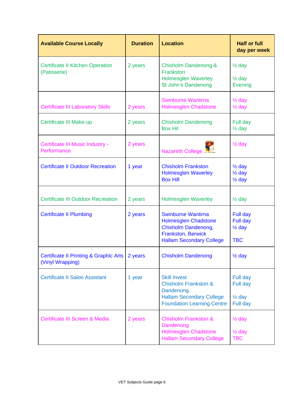| <b>Available Course Locally</b>                                       | <b>Duration</b> | <b>Location</b>                                                                                                                                 | <b>Half or full</b><br>day per week                                 |
|-----------------------------------------------------------------------|-----------------|-------------------------------------------------------------------------------------------------------------------------------------------------|---------------------------------------------------------------------|
| <b>Certificate II Kitchen Operation</b><br>(Patisserie)               | 2 years         | Chisholm Dandenong &<br>Frankston<br><b>Holmesglen Waverley</b><br><b>St John's Dandenong</b>                                                   | $\frac{1}{2}$ day<br>$\frac{1}{2}$ day<br><b>Evening</b>            |
| <b>Certificate III Laboratory Skills</b>                              | 2 years         | <b>Swinburne Wantirna</b><br>Holmesglen Chadstone                                                                                               | $\frac{1}{2}$ day<br>$\frac{1}{2}$ day                              |
| Certificate III Make-up                                               | 2 years         | <b>Chisholm Dandenong</b><br><b>Box Hil</b>                                                                                                     | Full day<br>$\frac{1}{2}$ day                                       |
| Certificate III Music Industry -<br>Performance                       | 2 years         | <b>Nazareth College</b>                                                                                                                         | $\frac{1}{2}$ day                                                   |
| <b>Certificate II Outdoor Recreation</b>                              | 1 year          | <b>Chisholm Frankston</b><br><b>Holmesglen Waverley</b><br><b>Box Hill</b>                                                                      | $\frac{1}{2}$ day<br>$\frac{1}{2}$ day<br>$\frac{1}{2}$ day         |
| <b>Certificate III Outdoor Recreation</b>                             | 2 years         | <b>Holmesglen Waverley</b>                                                                                                                      | $\frac{1}{2}$ day                                                   |
| <b>Certificate II Plumbing</b>                                        | 2 years         | <b>Swinburne Wantirna</b><br><b>Holmesglen Chadstone</b><br>Chisholm Dandenong,<br><b>Frankston, Berwick</b><br><b>Hallam Secondary College</b> | Full day<br>Full day<br>$\frac{1}{2}$ day<br><b>TBC</b>             |
| <b>Certificate II Printing &amp; Graphic Arts</b><br>(Vinyl Wrapping) | 2 years         | <b>Chisholm Dandenong</b>                                                                                                                       | $\frac{1}{2}$ day                                                   |
| <b>Certificate II Salon Assistant</b>                                 | 1 year          | <b>Skill Invest</b><br><b>Chisholm Frankston &amp;</b><br>Dandenong<br><b>Hallam Secondary College</b><br><b>Foundation Learning Centre</b>     | <b>Full day</b><br><b>Full day</b><br>$\frac{1}{2}$ day<br>Full day |
| Certificate III Screen & Media                                        | 2 years         | <b>Chisholm Frankston &amp;</b><br>Dandenong<br><b>Holmesglen Chadstone</b><br><b>Hallam Secondary College</b>                                  | $\frac{1}{2}$ day<br>$\frac{1}{2}$ day<br><b>TBC</b>                |